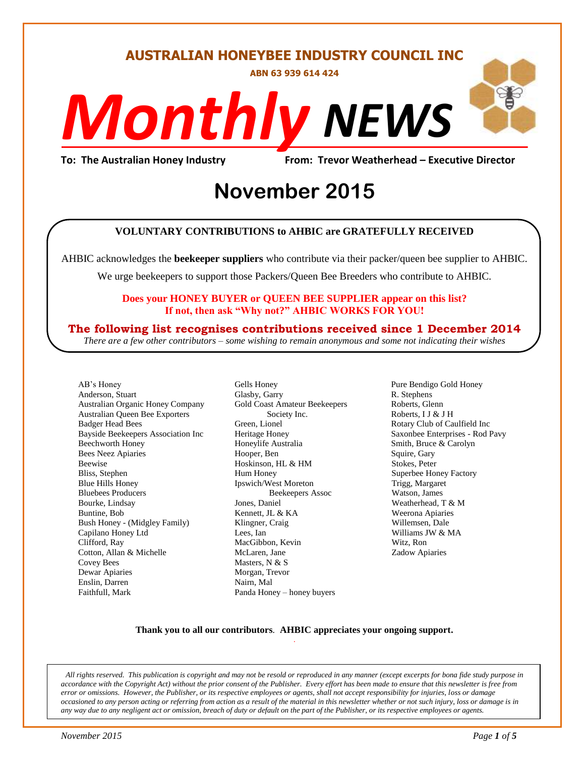#### **AUSTRALIAN HONEYBEE INDUSTRY COUNCIL INC**

**ABN 63 939 614 424**

# *NEWS Monthly*

**To: The Australian Honey Industry From: Trevor Weatherhead – Executive Director**

## *DS* **November 2015**

#### **VOLUNTARY CONTRIBUTIONS to AHBIC are GRATEFULLY RECEIVED**

AHBIC acknowledges the **beekeeper suppliers** who contribute via their packer/queen bee supplier to AHBIC.

We urge beekeepers to support those Packers/Queen Bee Breeders who contribute to AHBIC.

#### **Does your HONEY BUYER or QUEEN BEE SUPPLIER appear on this list? If not, then ask "Why not?" AHBIC WORKS FOR YOU!**

#### **The following list recognises contributions received since 1 December 2014**

*There are a few other contributors – some wishing to remain anonymous and some not indicating their wishes*

AB's Honey Anderson, Stuart Australian Organic Honey Company Australian Queen Bee Exporters Badger Head Bees Bayside Beekeepers Association Inc Beechworth Honey Bees Neez Apiaries Beewise Bliss, Stephen Blue Hills Honey Bluebees Producers Bourke, Lindsay Buntine, Bob Bush Honey - (Midgley Family) Capilano Honey Ltd Clifford, Ray Cotton, Allan & Michelle Covey Bees Dewar Apiaries Enslin, Darren Faithfull, Mark

Gells Honey Glasby, Garry Gold Coast Amateur Beekeepers Society Inc. Green, Lionel Heritage Honey Honeylife Australia Hooper, Ben Hoskinson, HL & HM Hum Honey Ipswich/West Moreton Beekeepers Assoc Jones, Daniel Kennett, JL & KA Klingner, Craig Lees, Ian MacGibbon, Kevin McLaren, Jane Masters, N & S Morgan, Trevor Nairn, Mal Panda Honey – honey buyers

Pure Bendigo Gold Honey R. Stephens Roberts, Glenn Roberts, I J & J H Rotary Club of Caulfield Inc Saxonbee Enterprises - Rod Pavy Smith, Bruce & Carolyn Squire, Gary Stokes, Peter Superbee Honey Factory Trigg, Margaret Watson, James Weatherhead, T & M Weerona Apiaries Willemsen, Dale Williams JW & MA Witz, Ron Zadow Apiaries

#### **Thank you to all our contributors***.* **AHBIC appreciates your ongoing support.** .

*All rights reserved. This publication is copyright and may not be resold or reproduced in any manner (except excerpts for bona fide study purpose in accordance with the Copyright Act) without the prior consent of the Publisher. Every effort has been made to ensure that this newsletter is free from error or omissions. However, the Publisher, or its respective employees or agents, shall not accept responsibility for injuries, loss or damage occasioned to any person acting or referring from action as a result of the material in this newsletter whether or not such injury, loss or damage is in any way due to any negligent act or omission, breach of duty or default on the part of the Publisher, or its respective employees or agents.*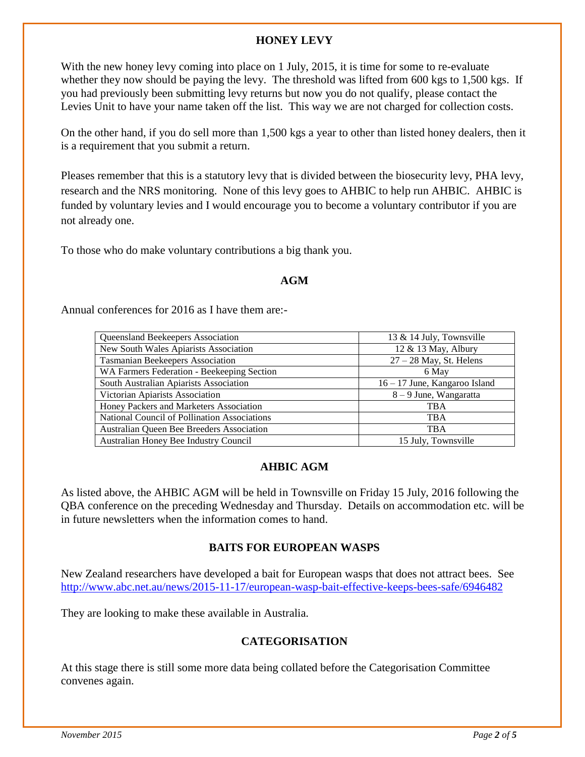#### **HONEY LEVY**

With the new honey levy coming into place on 1 July, 2015, it is time for some to re-evaluate whether they now should be paying the levy. The threshold was lifted from 600 kgs to 1,500 kgs. If you had previously been submitting levy returns but now you do not qualify, please contact the Levies Unit to have your name taken off the list. This way we are not charged for collection costs.

On the other hand, if you do sell more than 1,500 kgs a year to other than listed honey dealers, then it is a requirement that you submit a return.

Pleases remember that this is a statutory levy that is divided between the biosecurity levy, PHA levy, research and the NRS monitoring. None of this levy goes to AHBIC to help run AHBIC. AHBIC is funded by voluntary levies and I would encourage you to become a voluntary contributor if you are not already one.

To those who do make voluntary contributions a big thank you.

#### **AGM**

Annual conferences for 2016 as I have them are:-

| Queensland Beekeepers Association            | 13 & 14 July, Townsville      |
|----------------------------------------------|-------------------------------|
| New South Wales Apiarists Association        | 12 $&$ 13 May, Albury         |
| Tasmanian Beekeepers Association             | $27 - 28$ May, St. Helens     |
| WA Farmers Federation - Beekeeping Section   | 6 May                         |
| South Australian Apiarists Association       | 16 – 17 June, Kangaroo Island |
| Victorian Apiarists Association              | $8 - 9$ June, Wangaratta      |
| Honey Packers and Marketers Association      | <b>TBA</b>                    |
| National Council of Pollination Associations | <b>TBA</b>                    |
| Australian Queen Bee Breeders Association    | <b>TBA</b>                    |
| Australian Honey Bee Industry Council        | 15 July, Townsville           |

#### **AHBIC AGM**

As listed above, the AHBIC AGM will be held in Townsville on Friday 15 July, 2016 following the QBA conference on the preceding Wednesday and Thursday. Details on accommodation etc. will be in future newsletters when the information comes to hand.

#### **BAITS FOR EUROPEAN WASPS**

New Zealand researchers have developed a bait for European wasps that does not attract bees. See <http://www.abc.net.au/news/2015-11-17/european-wasp-bait-effective-keeps-bees-safe/6946482>

They are looking to make these available in Australia.

#### **CATEGORISATION**

At this stage there is still some more data being collated before the Categorisation Committee convenes again.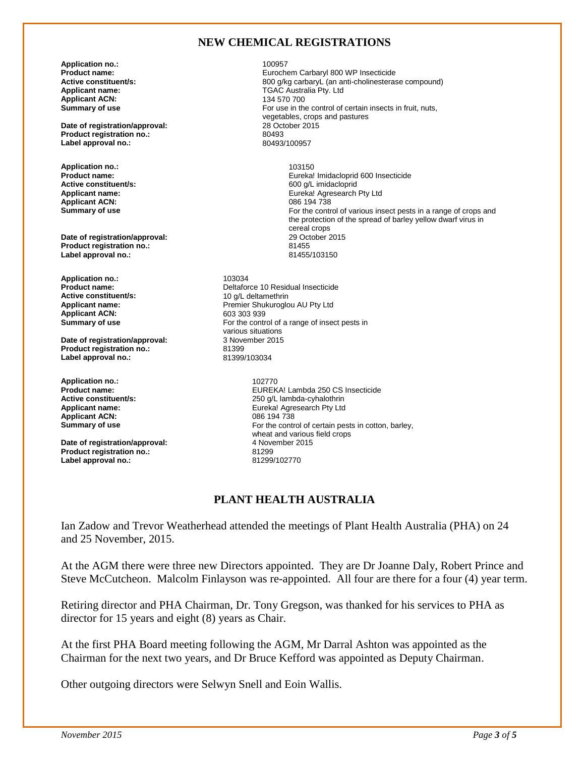#### **NEW CHEMICAL REGISTRATIONS**

**Application no.:** 100957 **Applicant ACN:**<br>Summary of use

**Date of registration/approval:** 28 October 2015<br> **Product registration no.:** 80493 **Product registration no.:** 80493<br>
Label approval no.: 80493/100957 Label approval no.:

**Application no.:** 103150 **Active constituent/s: Applicant ACN:**<br>Summary of use

**Date of registration/approval:** 29 October 2015<br> **Product registration no :** 21455 **Product registration no.:** 81455 Label approval no.:

**Application no.:** 103034<br>**Product name:** 2021 Deltafor **Applicant ACN:**<br>Summary of use

**Date of registration/approval:** 3 November 2015<br>Product registration no.: 81399 **Product registration no.:** 81399<br>
Label approval no.: 81399/103034 **Label approval no.:** 

**Application no.:** 202770<br>**Product name:** 2027 EUREK **Applicant ACN:** 

**Date of registration/approval: Product registration no.:** 81299<br> **Label approval no.:** 81299/102770 **Label approval no.:** 

**Product name:** Eurochem Carbaryl 800 WP Insecticide **Active constituent/s:** <br>**Applicant name: Applicant name: Applicant name: Applicant name: Applicant name: Applicant name: Applicant name: Applicant name: Applicant name: Applicant name: Applicant name: TGAC Australia Pty. Ltd**<br>134 570 700 For use in the control of certain insects in fruit, nuts, vegetables, crops and pastures

**Product name: Product name: Product name: Eureka!** Imidacloprid 600 Insecticide<br> **Active constituent/s:** 600 g/L imidacloprid **Applicant name:** Eureka! Agresearch Pty Ltd For the control of various insect pests in a range of crops and the protection of the spread of barley yellow dwarf virus in cereal crops<br>29 October 2015

**Product name:** Deltaforce 10 Residual Insecticide 10 g/L deltamethrin **Applicant name:** <br> **Applicant ACN:** <br> **Premier Shukuroglou AU Pty Ltd**<br> **Premier Shukuroglou AU Pty Ltd** For the control of a range of insect pests in various situations<br>3 November 2015

**Product name: EUREKA! Lambda 250 CS Insecticide**<br> **Active constituent/s:** entitled and the constituent of the constituent of the constituent of the constituent of the constant of the constituent of the constituent of th **Active constituent/s:** <br> **Applicant name:** <br> **Applicant name:** <br> **Applicant name:** <br> **Applicant name:** <br> **Applicant name:** <br> **Applicant name:** <br> **Applicant name:** <br> **Applicant name:** <br> **Applicant name:** <br> **Applicant name:** Eureka! Agresearch Pty Ltd<br>086 194 738 **Summary of use For the control of certain pests in cotton, barley, For the control of certain pests in cotton, barley,** wheat and various field crops<br>4 November 2015

#### **PLANT HEALTH AUSTRALIA**

Ian Zadow and Trevor Weatherhead attended the meetings of Plant Health Australia (PHA) on 24 and 25 November, 2015.

At the AGM there were three new Directors appointed. They are Dr Joanne Daly, Robert Prince and Steve McCutcheon. Malcolm Finlayson was re-appointed. All four are there for a four (4) year term.

Retiring director and PHA Chairman, Dr. Tony Gregson, was thanked for his services to PHA as director for 15 years and eight (8) years as Chair.

At the first PHA Board meeting following the AGM, Mr Darral Ashton was appointed as the Chairman for the next two years, and Dr Bruce Kefford was appointed as Deputy Chairman.

Other outgoing directors were Selwyn Snell and Eoin Wallis.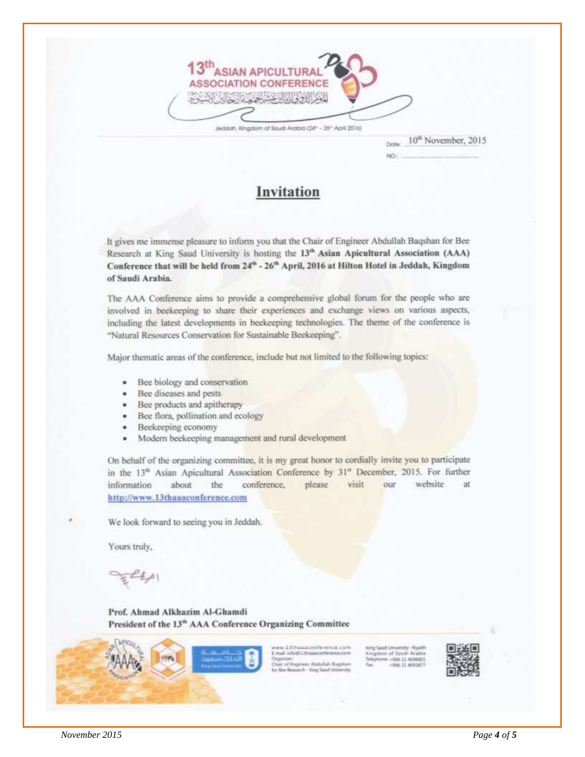

Jeddah, Kingdom of Soudi Arabia (24" - 26" April 2016)

10<sup>th</sup> November, 2015

ain.

Invitation

It gives me immense pleasure to inform you that the Chair of Engineer Abdullah Baqshan for Bee Research at King Saud University is hosting the 13th Asian Apicultural Association (AAA) Conference that will be held from 24<sup>th</sup> - 26<sup>th</sup> April, 2016 at Hilton Hotel in Jeddah, Kingdom of Saudi Arabia.

The AAA Conference aims to provide a comprehensive global forum for the people who are involved in beekeeping to share their experiences and exchange views on various aspects, including the latest developments in beekeeping technologies. The theme of the conference is "Natural Resources Conservation for Sustainable Beekeeping".

Major thematic areas of the conference, include but not limited to the following topics:

- Bee biology and conservation
- Bee diseases and pests
- · Bee products and apitherapy
- Bee flora, pollination and ecology
- Beekeeping economy
- Modern beekeeping management and rural development

On behalf of the organizing committee, it is my great honor to cordially invite you to participate in the 13<sup>th</sup> Asian Apicultural Association Conference by 31<sup>th</sup> December, 2015. For further information about the conference. please visit our website at http://www.13thaaaconference.com

We look forward to seeing you in Jeddah.

Yours truly,

Prof. Ahmad Alkhazim Al-Ghamdi President of the 13<sup>th</sup> AAA Conference Organizing Committee



w.13thaasconference.com at info@13tha

AVAILTY AUTOMOTIVE